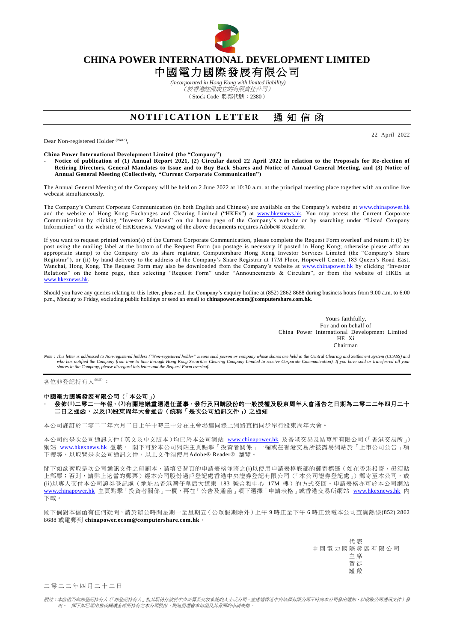

## **CHINA POWER INTERNATIONAL DEVELOPMENT LIMITED**

# 中國電力國際發展有限公司

*(incorporated in Hong Kong with limited liability)* (於香港註冊成立的有限責任公司) (Stock Code 股票代號:2380)

### **NOTIFICATION LETTER** 涌知信函

Dear Non-registered Holder (Note),

22 April 2022

**China Power International Development Limited (the "Company")**

- **Notice of publication of (1) Annual Report 2021, (2) Circular dated 22 April 2022 in relation to the Proposals for Re-election of Retiring Directors, General Mandates to Issue and to Buy Back Shares and Notice of Annual General Meeting, and (3) Notice of Annual General Meeting (Collectively, "Current Corporate Communication")**

The Annual General Meeting of the Company will be held on 2 June 2022 at 10:30 a.m. at the principal meeting place together with an online live webcast simultaneously.

The Company's Current Corporate Communication (in both English and Chinese) are available on the Company's website at [www.chinapower.hk](http://www.chinapower.hk/) and the website of Hong Kong Exchanges and Clearing Limited ("HKEx") at [www.hkexnews.hk.](http://www.hkexnews.hk/) You may access the Current Corporate Communication by clicking "Investor Relations" on the home page of the Company's website or by searching under "Listed Company Information" on the website of HKExnews. Viewing of the above documents requires Adobe® Reader® .

If you want to request printed version(s) of the Current Corporate Communication, please complete the Request Form overleaf and return it (i) by post using the mailing label at the bottom of the Request Form (no postage is necessary if posted in Hong Kong; otherwise please affix an appropriate stamp) to the Company c/o its share registrar, Computershare Hong Kong Investor Services Limited (the "Company's Share Registrar"), or (ii) by hand delivery to the address of the Company's Share Registrar at 17M Floor, Hopewell Centre, 183 Queen's Road East, Wanchai, Hong Kong. The Request Form may also be downloaded from the Company's website at [www.chinapower.hk](http://www.chinapower.hk/) by clicking "Investor Relations" on the home page, then selecting "Request Form" under "Announcements & Circulars", or from the website of HKEx at [www.hkexnews.hk.](http://www.hkexnews.hk/)

Should you have any queries relating to this letter, please call the Company's enquiry hotline at (852) 2862 8688 during business hours from 9:00 a.m. to 6:00 p.m., Monday to Friday, excluding public holidays or send an email to **[chinapower.ecom@computershare.com.hk](mailto:chinapower.ecom@computershare.com.hk)**.

> Yours faithfully, For and on behalf of China Power International Development Limited HE Xi Chairman

Note : This letter is addressed to Non-registered holders ("Non-registered holder" means such person or company whose shares are held in the Central Clearing and Settlement System (CCASS) and<br>who has notified the Company f *shares in the Company, please disregard this letter and the Request Form overleaf.*

各位非登記持有人<sup>附註)</sup>:

#### 中國電力國際發展有限公司(「本公司」)

### - 發佈**(1)**二零二一年報、**(2)**有關建議重選退任董事、發行及回購股份的一般授權及股東周年大會通告之日期為二零二二年四月二十 二日之通函,以及**(3)**股東周年大會通告(統稱「是次公司通訊文件」)之通知

本公司謹訂於二零二二年六月二日上午十時三十分在主會場連同線上網絡直播同步舉行股東周年大會。

本公司的是次公司通訊文件(英文及中文版本)均已於本公司網站 [www.chinapower.hk](http://www.chinapower.hk/) 及香港交易及結算所有限公司(「香港交易所」) 網站 [www.hkexnews.hk](http://www.hkexnews.hk/) 登載。 閣下可於本公司網站主頁點擊「投資者關係」一欄或在香港交易所披露易網站於「上市公司公告」項 下搜尋,以取覽是次公司通訊文件,以上文件須使用Adobe® Reader® 瀏覽。

閣下如欲索取是次公司通訊文件之印刷本,請填妥背頁的申請表格並將之(i)以使用申請表格底部的郵寄標籤(如在香港投寄,毋須貼 上郵票;否則,請貼上適當的郵票)經本公司股份過戶登記處香港中央證券登記有限公司(「本公司證券登記處」)郵寄至本公司,或 (ii)以專人交付本公司證券登記處(地址為香港灣仔皇后大道東 183 號合和中心 17M 樓)的方式交回。申請表格亦可於本公司網站 [www.chinapower.hk](http://www.chinapower.hk/) 主頁點擊「投資者關係」一欄,再在「公告及通函」項下選擇「申請表格」或香港交易所網站 [www.hkexnews.hk](http://www.hkexnews.hk/) 內 下載。

閣下倘對本信函有任何疑問,請於辦公時間星期一至星期五(公眾假期除外)上午 9 時正至下午 6 時正致電本公司查詢熱線(852) 2862 8688 或電郵到 **[chinapower.ecom@computershare.com.hk](mailto:chinapower.ecom@computershare.com.hk)**。

> 代 表 中國電力國際發展有限公司 主 席 賀 徙 謹 啟

二 零 二 二 年 四 月 二 十 二 日

附註:本信函乃向非登記持有人(「非登記持有人」指其股份存放於中央結算及交收系統的人士或公司,並透過香港中央結算有限公司不時向本公司發出通知,以收取公司通訊文件)發 出。 閣下如已經出售或轉讓全部所持有之本公司股份,則無需理會本信函及其背面的申請表格。